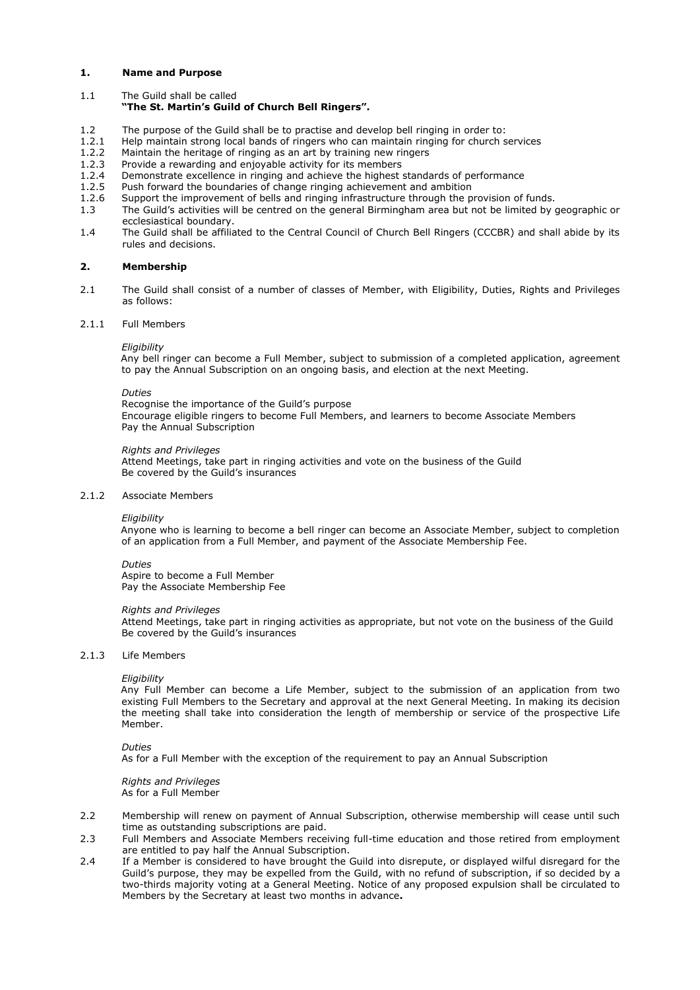### **1. Name and Purpose**

1.1 The Guild shall be called

## **"The St. Martin's Guild of Church Bell Ringers".**

- 1.2 The purpose of the Guild shall be to practise and develop bell ringing in order to:
- 1.2.1 Help maintain strong local bands of ringers who can maintain ringing for church services 1.2.2 Maintain the heritage of ringing as an art by training new ringers
- Maintain the heritage of ringing as an art by training new ringers
- 1.2.3 Provide a rewarding and enjoyable activity for its members 1.2.4 Demonstrate excellence in ringing and achieve the highest
- Demonstrate excellence in ringing and achieve the highest standards of performance
- 1.2.5 Push forward the boundaries of change ringing achievement and ambition 1.2.6 Support the improvement of bells and ringing infrastructure through the p
- Support the improvement of bells and ringing infrastructure through the provision of funds.
- 1.3 The Guild's activities will be centred on the general Birmingham area but not be limited by geographic or ecclesiastical boundary.
- 1.4 The Guild shall be affiliated to the Central Council of Church Bell Ringers (CCCBR) and shall abide by its rules and decisions.

## **2. Membership**

2.1 The Guild shall consist of a number of classes of Member, with Eligibility, Duties, Rights and Privileges as follows:

### 2.1.1 Full Members

#### *Eligibility*

Any bell ringer can become a Full Member, subject to submission of a completed application, agreement to pay the Annual Subscription on an ongoing basis, and election at the next Meeting.

### *Duties*

Recognise the importance of the Guild's purpose Encourage eligible ringers to become Full Members, and learners to become Associate Members Pay the Annual Subscription

#### *Rights and Privileges*

Attend Meetings, take part in ringing activities and vote on the business of the Guild Be covered by the Guild's insurances

### 2.1.2 Associate Members

#### *Eligibility*

Anyone who is learning to become a bell ringer can become an Associate Member, subject to completion of an application from a Full Member, and payment of the Associate Membership Fee.

#### *Duties*

Aspire to become a Full Member Pay the Associate Membership Fee

#### *Rights and Privileges*

Attend Meetings, take part in ringing activities as appropriate, but not vote on the business of the Guild Be covered by the Guild's insurances

#### 2.1.3 Life Members

#### *Eligibility*

Any Full Member can become a Life Member, subject to the submission of an application from two existing Full Members to the Secretary and approval at the next General Meeting. In making its decision the meeting shall take into consideration the length of membership or service of the prospective Life Member.

#### *Duties*

As for a Full Member with the exception of the requirement to pay an Annual Subscription

#### *Rights and Privileges* As for a Full Member

- 2.2 Membership will renew on payment of Annual Subscription, otherwise membership will cease until such time as outstanding subscriptions are paid.
- 2.3 Full Members and Associate Members receiving full-time education and those retired from employment are entitled to pay half the Annual Subscription.
- 2.4 If a Member is considered to have brought the Guild into disrepute, or displayed wilful disregard for the Guild's purpose, they may be expelled from the Guild, with no refund of subscription, if so decided by a two-thirds majority voting at a General Meeting. Notice of any proposed expulsion shall be circulated to Members by the Secretary at least two months in advance**.**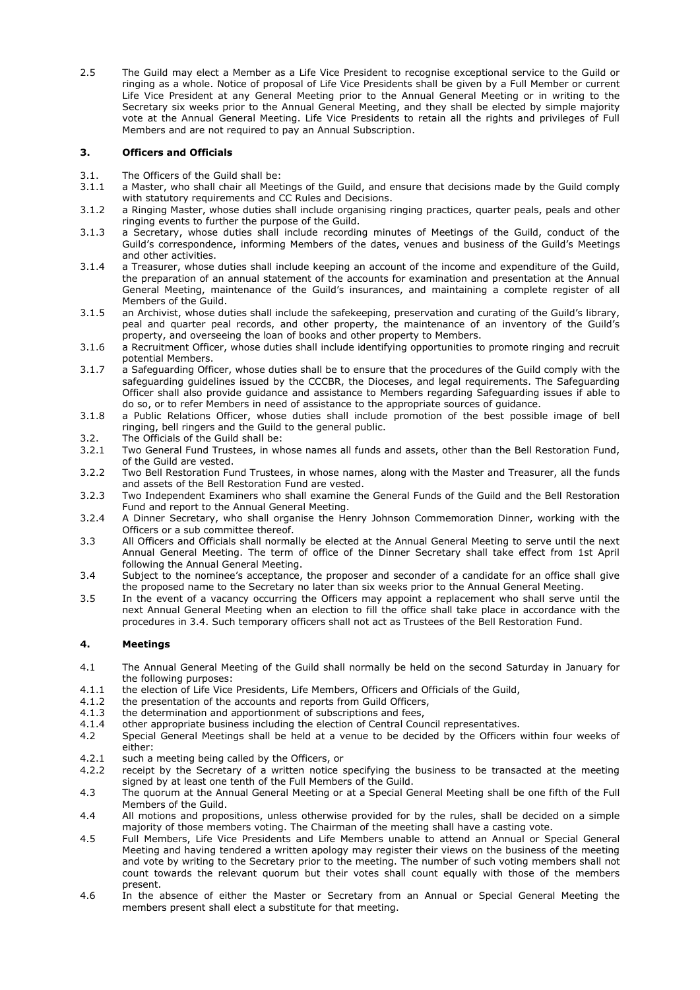2.5 The Guild may elect a Member as a Life Vice President to recognise exceptional service to the Guild or ringing as a whole. Notice of proposal of Life Vice Presidents shall be given by a Full Member or current Life Vice President at any General Meeting prior to the Annual General Meeting or in writing to the Secretary six weeks prior to the Annual General Meeting, and they shall be elected by simple majority vote at the Annual General Meeting. Life Vice Presidents to retain all the rights and privileges of Full Members and are not required to pay an Annual Subscription.

# **3. Officers and Officials**

- 3.1. The Officers of the Guild shall be:
- 3.1.1 a Master, who shall chair all Meetings of the Guild, and ensure that decisions made by the Guild comply with statutory requirements and CC Rules and Decisions.
- 3.1.2 a Ringing Master, whose duties shall include organising ringing practices, quarter peals, peals and other ringing events to further the purpose of the Guild.
- 3.1.3 a Secretary, whose duties shall include recording minutes of Meetings of the Guild, conduct of the Guild's correspondence, informing Members of the dates, venues and business of the Guild's Meetings and other activities.
- 3.1.4 a Treasurer, whose duties shall include keeping an account of the income and expenditure of the Guild, the preparation of an annual statement of the accounts for examination and presentation at the Annual General Meeting, maintenance of the Guild's insurances, and maintaining a complete register of all Members of the Guild.
- 3.1.5 an Archivist, whose duties shall include the safekeeping, preservation and curating of the Guild's library, peal and quarter peal records, and other property, the maintenance of an inventory of the Guild's property, and overseeing the loan of books and other property to Members.
- 3.1.6 a Recruitment Officer, whose duties shall include identifying opportunities to promote ringing and recruit potential Members.
- 3.1.7 a Safeguarding Officer, whose duties shall be to ensure that the procedures of the Guild comply with the safeguarding guidelines issued by the CCCBR, the Dioceses, and legal requirements. The Safeguarding Officer shall also provide guidance and assistance to Members regarding Safeguarding issues if able to do so, or to refer Members in need of assistance to the appropriate sources of guidance.
- 3.1.8 a Public Relations Officer, whose duties shall include promotion of the best possible image of bell ringing, bell ringers and the Guild to the general public.
- 3.2. The Officials of the Guild shall be:<br>3.2.1 Two General Fund Trustees, in wh
- Two General Fund Trustees, in whose names all funds and assets, other than the Bell Restoration Fund, of the Guild are vested.
- 3.2.2 Two Bell Restoration Fund Trustees, in whose names, along with the Master and Treasurer, all the funds and assets of the Bell Restoration Fund are vested.
- 3.2.3 Two Independent Examiners who shall examine the General Funds of the Guild and the Bell Restoration Fund and report to the Annual General Meeting.
- 3.2.4 A Dinner Secretary, who shall organise the Henry Johnson Commemoration Dinner, working with the Officers or a sub committee thereof.
- 3.3 All Officers and Officials shall normally be elected at the Annual General Meeting to serve until the next Annual General Meeting. The term of office of the Dinner Secretary shall take effect from 1st April following the Annual General Meeting.
- 3.4 Subject to the nominee's acceptance, the proposer and seconder of a candidate for an office shall give the proposed name to the Secretary no later than six weeks prior to the Annual General Meeting.
- 3.5 In the event of a vacancy occurring the Officers may appoint a replacement who shall serve until the next Annual General Meeting when an election to fill the office shall take place in accordance with the procedures in 3.4. Such temporary officers shall not act as Trustees of the Bell Restoration Fund.

# **4. Meetings**

- 4.1 The Annual General Meeting of the Guild shall normally be held on the second Saturday in January for the following purposes:
- 4.1.1 the election of Life Vice Presidents, Life Members, Officers and Officials of the Guild,
- 4.1.2 the presentation of the accounts and reports from Guild Officers,
- 4.1.3 the determination and apportionment of subscriptions and fees,
- 4.1.4 other appropriate business including the election of Central Council representatives.
- 4.2 Special General Meetings shall be held at a venue to be decided by the Officers within four weeks of either:
- 4.2.1 such a meeting being called by the Officers, or
- 4.2.2 receipt by the Secretary of a written notice specifying the business to be transacted at the meeting signed by at least one tenth of the Full Members of the Guild.
- 4.3 The quorum at the Annual General Meeting or at a Special General Meeting shall be one fifth of the Full Members of the Guild.
- 4.4 All motions and propositions, unless otherwise provided for by the rules, shall be decided on a simple majority of those members voting. The Chairman of the meeting shall have a casting vote.
- 4.5 Full Members, Life Vice Presidents and Life Members unable to attend an Annual or Special General Meeting and having tendered a written apology may register their views on the business of the meeting and vote by writing to the Secretary prior to the meeting. The number of such voting members shall not count towards the relevant quorum but their votes shall count equally with those of the members present.
- 4.6 In the absence of either the Master or Secretary from an Annual or Special General Meeting the members present shall elect a substitute for that meeting.